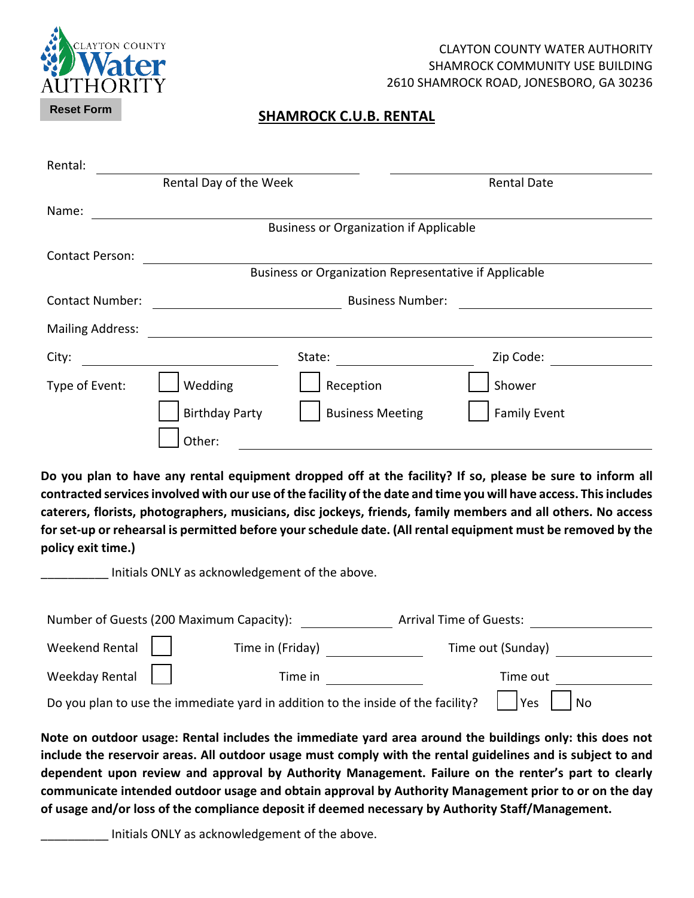

#### CLAYTON COUNTY WATER AUTHORITY SHAMROCK COMMUNITY USE BUILDING 2610 SHAMROCK ROAD, JONESBORO, GA 30236

#### **SHAMROCK C.U.B. RENTAL**

| Rental:                 |                                                              |                         |                     |  |  |
|-------------------------|--------------------------------------------------------------|-------------------------|---------------------|--|--|
|                         | Rental Day of the Week                                       |                         | <b>Rental Date</b>  |  |  |
| Name:                   |                                                              |                         |                     |  |  |
|                         | <b>Business or Organization if Applicable</b>                |                         |                     |  |  |
| <b>Contact Person:</b>  |                                                              |                         |                     |  |  |
|                         | <b>Business or Organization Representative if Applicable</b> |                         |                     |  |  |
| <b>Contact Number:</b>  | <b>Business Number:</b>                                      |                         |                     |  |  |
| <b>Mailing Address:</b> |                                                              |                         |                     |  |  |
| City:                   |                                                              | State:                  | Zip Code:           |  |  |
| Type of Event:          | Wedding                                                      | Reception               | Shower              |  |  |
|                         | <b>Birthday Party</b>                                        | <b>Business Meeting</b> | <b>Family Event</b> |  |  |
|                         | Other:                                                       |                         |                     |  |  |

**Do you plan to have any rental equipment dropped off at the facility? If so, please be sure to inform all contracted services involved with our use of the facility of the date and time you will have access. This includes caterers, florists, photographers, musicians, disc jockeys, friends, family members and all others. No access for set-up or rehearsal is permitted before your schedule date. (All rental equipment must be removed by the policy exit time.)**

\_\_\_\_\_\_\_\_\_\_ Initials ONLY as acknowledgement of the above.

| Number of Guests (200 Maximum Capacity):                                                       |                  | <b>Arrival Time of Guests:</b> |  |
|------------------------------------------------------------------------------------------------|------------------|--------------------------------|--|
| Weekend Rental                                                                                 | Time in (Friday) | Time out (Sunday)              |  |
| Weekday Rental                                                                                 | Time in          | Time out                       |  |
| Do you plan to use the immediate yard in addition to the inside of the facility?<br><b>Yes</b> |                  |                                |  |

**Note on outdoor usage: Rental includes the immediate yard area around the buildings only: this does not include the reservoir areas. All outdoor usage must comply with the rental guidelines and is subject to and dependent upon review and approval by Authority Management. Failure on the renter's part to clearly communicate intended outdoor usage and obtain approval by Authority Management prior to or on the day of usage and/or loss of the compliance deposit if deemed necessary by Authority Staff/Management.**

Initials ONLY as acknowledgement of the above.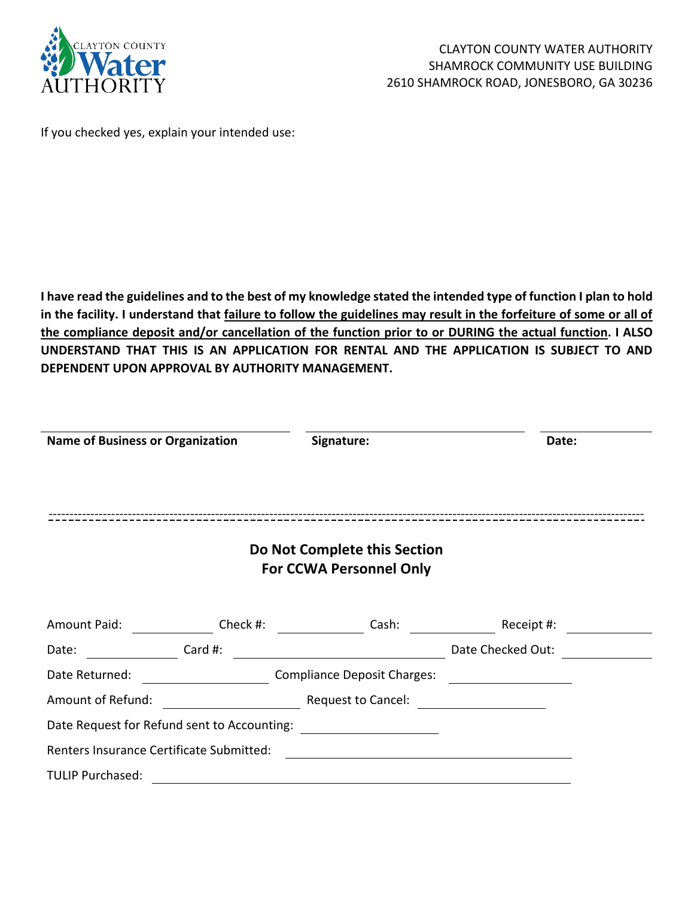

If you checked yes, explain your intended use:

**I have read the guidelines and to the best of my knowledge stated the intended type of function I plan to hold in the facility. I understand that failure to follow the guidelines may result in the forfeiture of some or all of the compliance deposit and/or cancellation of the function prior to or DURING the actual function. I ALSO UNDERSTAND THAT THIS IS AN APPLICATION FOR RENTAL AND THE APPLICATION IS SUBJECT TO AND DEPENDENT UPON APPROVAL BY AUTHORITY MANAGEMENT.** 

| <b>Name of Business or Organization</b>     |          | Signature:                                                     | Date:             |  |  |
|---------------------------------------------|----------|----------------------------------------------------------------|-------------------|--|--|
|                                             |          |                                                                |                   |  |  |
|                                             |          |                                                                |                   |  |  |
|                                             |          | Do Not Complete this Section<br><b>For CCWA Personnel Only</b> |                   |  |  |
|                                             |          |                                                                |                   |  |  |
| <b>Amount Paid:</b>                         | Check #: | Cash:                                                          | Receipt #:        |  |  |
| Date:                                       | Card #:  |                                                                | Date Checked Out: |  |  |
| Date Returned:                              |          | <b>Compliance Deposit Charges:</b>                             |                   |  |  |
| Amount of Refund:                           |          | Request to Cancel:                                             |                   |  |  |
| Date Request for Refund sent to Accounting: |          |                                                                |                   |  |  |
| Renters Insurance Certificate Submitted:    |          |                                                                |                   |  |  |
| <b>TULIP Purchased:</b>                     |          |                                                                |                   |  |  |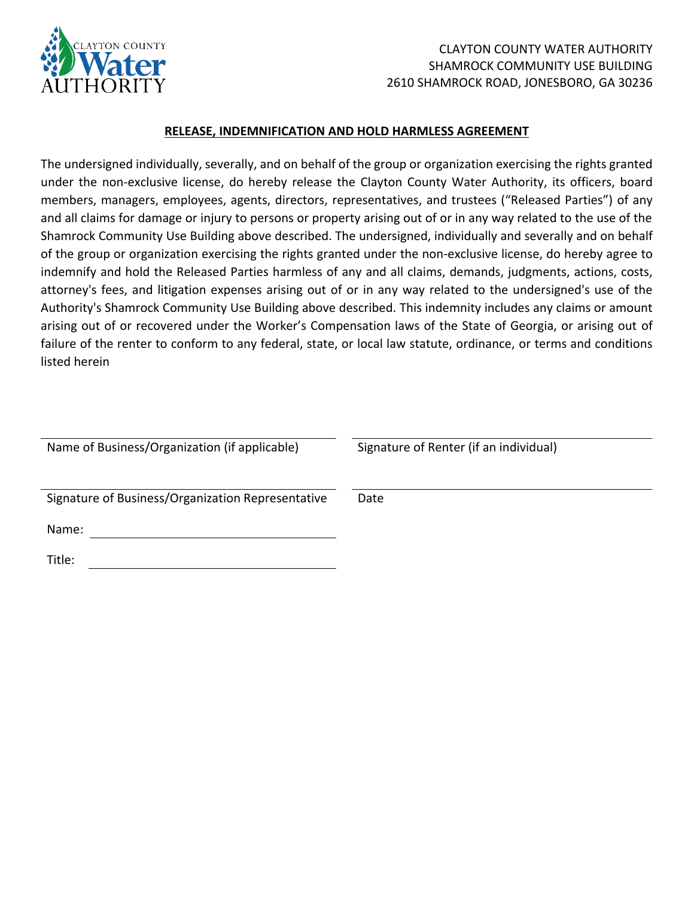

#### **RELEASE, INDEMNIFICATION AND HOLD HARMLESS AGREEMENT**

The undersigned individually, severally, and on behalf of the group or organization exercising the rights granted under the non-exclusive license, do hereby release the Clayton County Water Authority, its officers, board members, managers, employees, agents, directors, representatives, and trustees ("Released Parties") of any and all claims for damage or injury to persons or property arising out of or in any way related to the use of the Shamrock Community Use Building above described. The undersigned, individually and severally and on behalf of the group or organization exercising the rights granted under the non-exclusive license, do hereby agree to indemnify and hold the Released Parties harmless of any and all claims, demands, judgments, actions, costs, attorney's fees, and litigation expenses arising out of or in any way related to the undersigned's use of the Authority's Shamrock Community Use Building above described. This indemnity includes any claims or amount arising out of or recovered under the Worker's Compensation laws of the State of Georgia, or arising out of failure of the renter to conform to any federal, state, or local law statute, ordinance, or terms and conditions listed herein

| Name of Business/Organization (if applicable)     | Signature of Renter (if an individual) |
|---------------------------------------------------|----------------------------------------|
| Signature of Business/Organization Representative | Date                                   |
| Name:                                             |                                        |
| Title:                                            |                                        |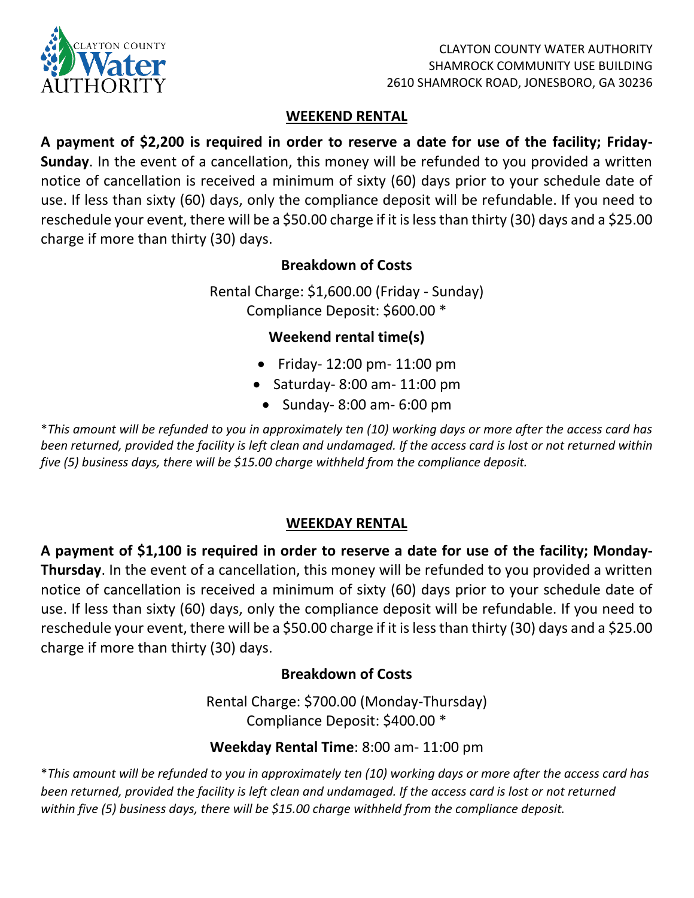

#### **WEEKEND RENTAL**

**A payment of \$2,200 is required in order to reserve a date for use of the facility; Friday-Sunday**. In the event of a cancellation, this money will be refunded to you provided a written notice of cancellation is received a minimum of sixty (60) days prior to your schedule date of use. If less than sixty (60) days, only the compliance deposit will be refundable. If you need to reschedule your event, there will be a \$50.00 charge if it is less than thirty (30) days and a \$25.00 charge if more than thirty (30) days.

# **Breakdown of Costs**

Rental Charge: \$1,600.00 (Friday - Sunday) Compliance Deposit: \$600.00 \*

# **Weekend rental time(s)**

- Friday- 12:00 pm- 11:00 pm
- Saturday- 8:00 am- 11:00 pm
	- Sunday- 8:00 am- 6:00 pm

\**This amount will be refunded to you in approximately ten (10) working days or more after the access card has been returned, provided the facility is left clean and undamaged. If the access card is lost or not returned within five (5) business days, there will be \$15.00 charge withheld from the compliance deposit.* 

## **WEEKDAY RENTAL**

**A payment of \$1,100 is required in order to reserve a date for use of the facility; Monday-Thursday**. In the event of a cancellation, this money will be refunded to you provided a written notice of cancellation is received a minimum of sixty (60) days prior to your schedule date of use. If less than sixty (60) days, only the compliance deposit will be refundable. If you need to reschedule your event, there will be a \$50.00 charge if it is less than thirty (30) days and a \$25.00 charge if more than thirty (30) days.

## **Breakdown of Costs**

Rental Charge: \$700.00 (Monday-Thursday) Compliance Deposit: \$400.00 \*

## **Weekday Rental Time**: 8:00 am- 11:00 pm

\**This amount will be refunded to you in approximately ten (10) working days or more after the access card has been returned, provided the facility is left clean and undamaged. If the access card is lost or not returned within five (5) business days, there will be \$15.00 charge withheld from the compliance deposit.*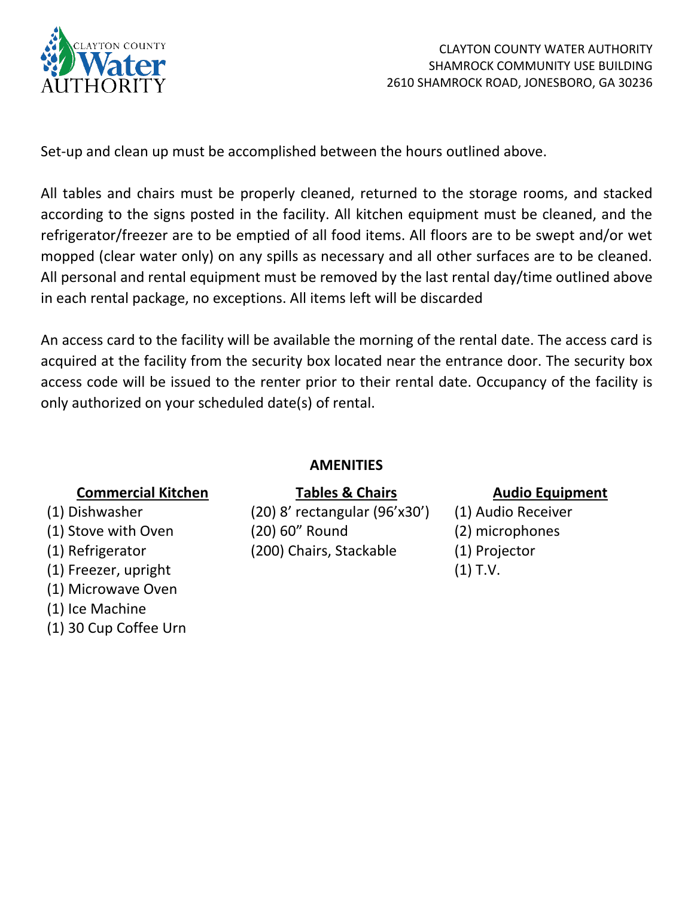

Set-up and clean up must be accomplished between the hours outlined above.

All tables and chairs must be properly cleaned, returned to the storage rooms, and stacked according to the signs posted in the facility. All kitchen equipment must be cleaned, and the refrigerator/freezer are to be emptied of all food items. All floors are to be swept and/or wet mopped (clear water only) on any spills as necessary and all other surfaces are to be cleaned. All personal and rental equipment must be removed by the last rental day/time outlined above in each rental package, no exceptions. All items left will be discarded

An access card to the facility will be available the morning of the rental date. The access card is acquired at the facility from the security box located near the entrance door. The security box access code will be issued to the renter prior to their rental date. Occupancy of the facility is only authorized on your scheduled date(s) of rental.

## **AMENITIES**

# **Commercial Kitchen Tables & Chairs Audio Equipment**

- 
- 
- 
- (1) Freezer, upright (1) T.V.
- (1) Microwave Oven
- (1) Ice Machine
- (1) 30 Cup Coffee Urn

(1) Dishwasher (20) 8' rectangular (96'x30') (1) Audio Receiver (1) Stove with Oven (20) 60" Round (2) microphones (1) Refrigerator (200) Chairs, Stackable (1) Projector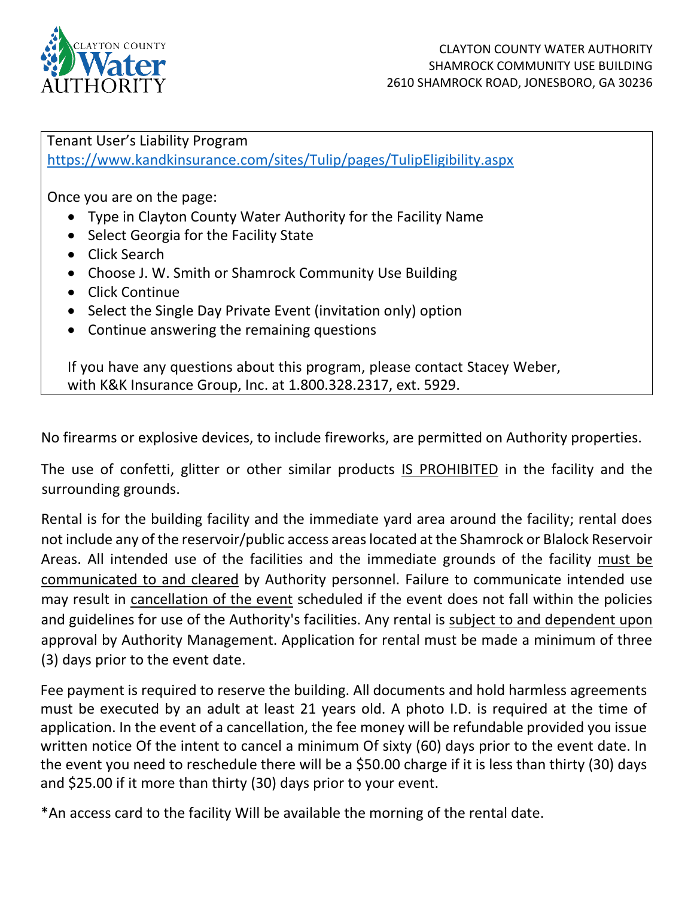

Tenant User's Liability Program <https://www.kandkinsurance.com/sites/Tulip/pages/TulipEligibility.aspx>

Once you are on the page:

- Type in Clayton County Water Authority for the Facility Name
- Select Georgia for the Facility State
- Click Search
- Choose J. W. Smith or Shamrock Community Use Building
- Click Continue
- Select the Single Day Private Event (invitation only) option
- Continue answering the remaining questions

If you have any questions about this program, please contact Stacey Weber, with K&K Insurance Group, Inc. at 1.800.328.2317, ext. 5929.

No firearms or explosive devices, to include fireworks, are permitted on Authority properties.

The use of confetti, glitter or other similar products IS PROHIBITED in the facility and the surrounding grounds.

Rental is for the building facility and the immediate yard area around the facility; rental does not include any of the reservoir/public access areas located at the Shamrock or Blalock Reservoir Areas. All intended use of the facilities and the immediate grounds of the facility must be communicated to and cleared by Authority personnel. Failure to communicate intended use may result in cancellation of the event scheduled if the event does not fall within the policies and guidelines for use of the Authority's facilities. Any rental is subject to and dependent upon approval by Authority Management. Application for rental must be made a minimum of three (3) days prior to the event date.

Fee payment is required to reserve the building. All documents and hold harmless agreements must be executed by an adult at least 21 years old. A photo I.D. is required at the time of application. In the event of a cancellation, the fee money will be refundable provided you issue written notice Of the intent to cancel a minimum Of sixty (60) days prior to the event date. In the event you need to reschedule there will be a \$50.00 charge if it is less than thirty (30) days and \$25.00 if it more than thirty (30) days prior to your event.

\*An access card to the facility Will be available the morning of the rental date.